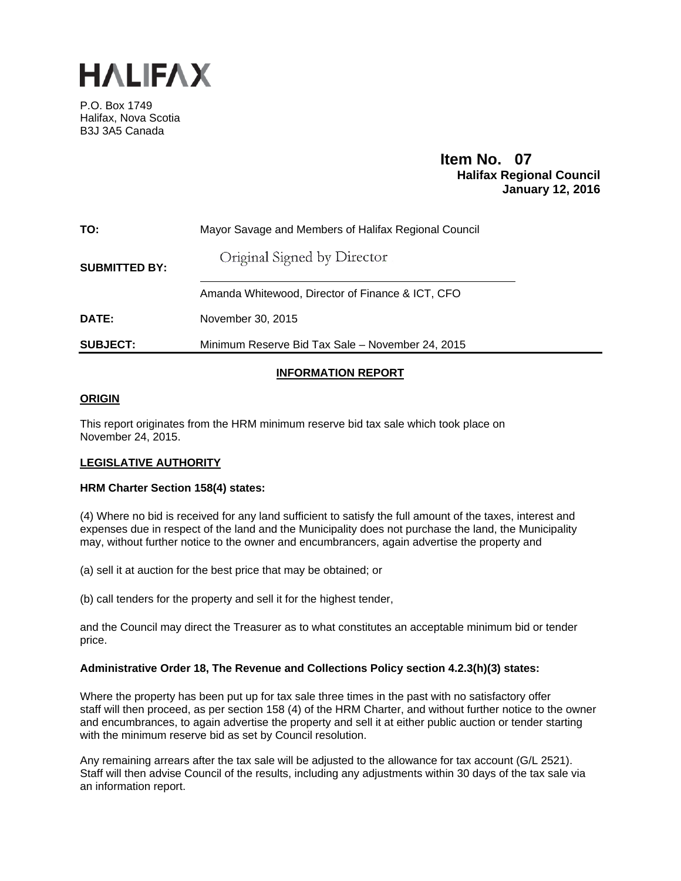

P.O. Box 1749 Halifax, Nova Scotia B3J 3A5 Canada

# **Item No. 07**<br>**Halifax Regional Council January 12, 2016**

| TO:                  | Mayor Savage and Members of Halifax Regional Council |
|----------------------|------------------------------------------------------|
| <b>SUBMITTED BY:</b> | Original Signed by Director                          |
|                      | Amanda Whitewood, Director of Finance & ICT, CFO     |
| <b>DATE:</b>         | November 30, 2015                                    |
| <b>SUBJECT:</b>      | Minimum Reserve Bid Tax Sale – November 24, 2015     |

# **INFORMATION REPORT**

# **ORIGIN**

This report originates from the HRM minimum reserve bid tax sale which took place on November 24, 2015.

# **LEGISLATIVE AUTHORITY**

## **HRM Charter Section 158(4) states:**

(4) Where no bid is received for any land sufficient to satisfy the full amount of the taxes, interest and expenses due in respect of the land and the Municipality does not purchase the land, the Municipality may, without further notice to the owner and encumbrancers, again advertise the property and

(a) sell it at auction for the best price that may be obtained; or

(b) call tenders for the property and sell it for the highest tender,

and the Council may direct the Treasurer as to what constitutes an acceptable minimum bid or tender price.

## **Administrative Order 18, The Revenue and Collections Policy section 4.2.3(h)(3) states:**

Where the property has been put up for tax sale three times in the past with no satisfactory offer staff will then proceed, as per section 158 (4) of the HRM Charter, and without further notice to the owner and encumbrances, to again advertise the property and sell it at either public auction or tender starting with the minimum reserve bid as set by Council resolution.

Any remaining arrears after the tax sale will be adjusted to the allowance for tax account (G/L 2521). Staff will then advise Council of the results, including any adjustments within 30 days of the tax sale via an information report.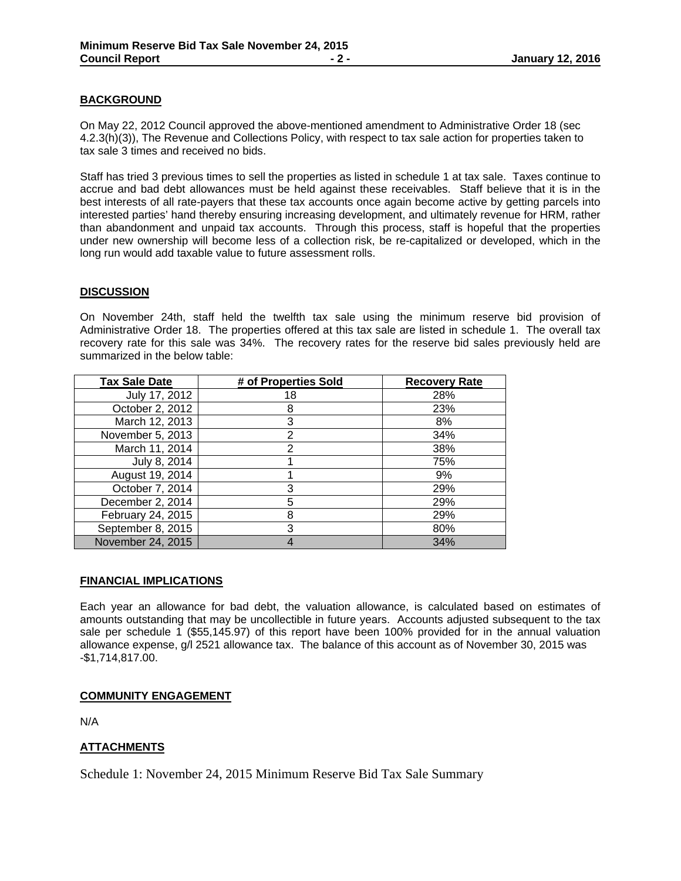## **BACKGROUND**

On May 22, 2012 Council approved the above-mentioned amendment to Administrative Order 18 (sec 4.2.3(h)(3)), The Revenue and Collections Policy, with respect to tax sale action for properties taken to tax sale 3 times and received no bids.

Staff has tried 3 previous times to sell the properties as listed in schedule 1 at tax sale. Taxes continue to accrue and bad debt allowances must be held against these receivables. Staff believe that it is in the best interests of all rate-payers that these tax accounts once again become active by getting parcels into interested parties' hand thereby ensuring increasing development, and ultimately revenue for HRM, rather than abandonment and unpaid tax accounts. Through this process, staff is hopeful that the properties under new ownership will become less of a collection risk, be re-capitalized or developed, which in the long run would add taxable value to future assessment rolls.

## **DISCUSSION**

On November 24th, staff held the twelfth tax sale using the minimum reserve bid provision of Administrative Order 18. The properties offered at this tax sale are listed in schedule 1. The overall tax recovery rate for this sale was 34%. The recovery rates for the reserve bid sales previously held are summarized in the below table:

| <b>Tax Sale Date</b> | # of Properties Sold | <b>Recovery Rate</b> |
|----------------------|----------------------|----------------------|
| July 17, 2012        | 18                   | 28%                  |
| October 2, 2012      | 8                    | 23%                  |
| March 12, 2013       | 3                    | 8%                   |
| November 5, 2013     | 2                    | 34%                  |
| March 11, 2014       |                      | 38%                  |
| July 8, 2014         |                      | 75%                  |
| August 19, 2014      |                      | 9%                   |
| October 7, 2014      | 3                    | 29%                  |
| December 2, 2014     | 5                    | 29%                  |
| February 24, 2015    | 8                    | 29%                  |
| September 8, 2015    | 3                    | 80%                  |
| November 24, 2015    |                      | 34%                  |

## **FINANCIAL IMPLICATIONS**

Each year an allowance for bad debt, the valuation allowance, is calculated based on estimates of amounts outstanding that may be uncollectible in future years. Accounts adjusted subsequent to the tax sale per schedule 1 (\$55,145.97) of this report have been 100% provided for in the annual valuation allowance expense, g/l 2521 allowance tax. The balance of this account as of November 30, 2015 was -\$1,714,817.00.

## **COMMUNITY ENGAGEMENT**

N/A

# **ATTACHMENTS**

Schedule 1: November 24, 2015 Minimum Reserve Bid Tax Sale Summary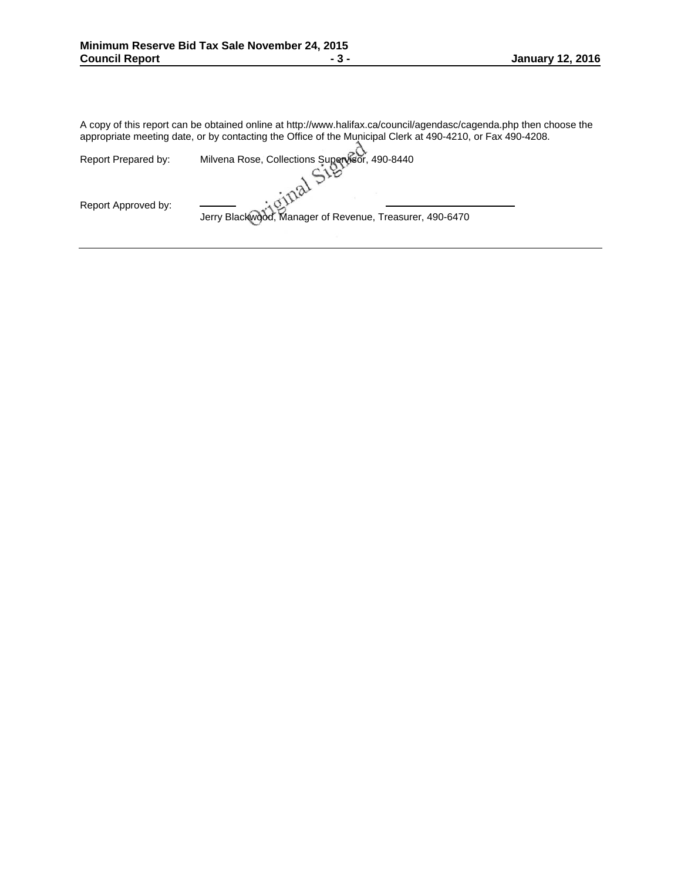A copy of this report can be obtained online at http://www.halifax.ca/council/agendasc/cagenda.php then choose the appropriate meeting date, or by contacting the Office of the Municipal Clerk at 490-4210, or Fax 490-4208.

| Report Prepared by: | Milvena Rose, Collections Supervisor, 490-8440           |
|---------------------|----------------------------------------------------------|
|                     |                                                          |
|                     |                                                          |
| Report Approved by: | Jerry Blackwood, Manager of Revenue, Treasurer, 490-6470 |
|                     |                                                          |